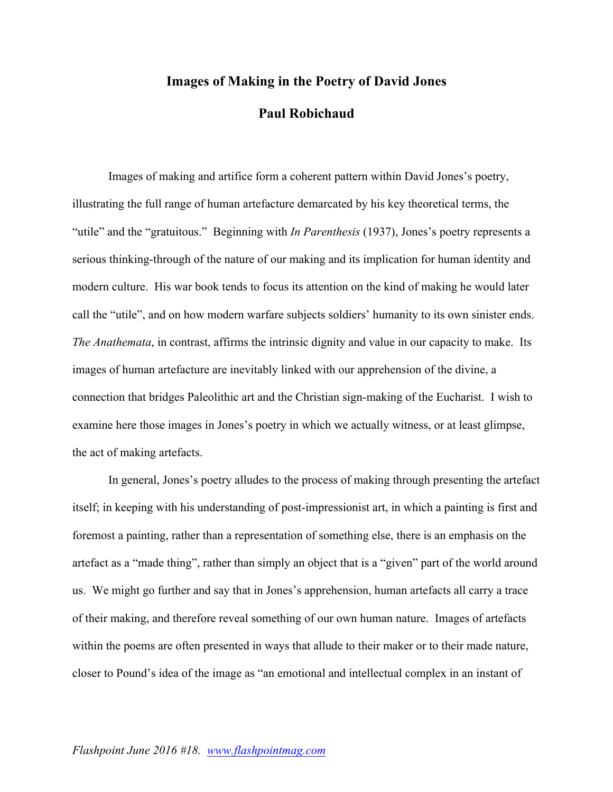## **Images of Making in the Poetry of David Jones**

## **Paul Robichaud**

Images of making and artifice form a coherent pattern within David Jones's poetry, illustrating the full range of human artefacture demarcated by his key theoretical terms, the "utile" and the "gratuitous." Beginning with *In Parenthesis* (1937), Jones's poetry represents a serious thinking-through of the nature of our making and its implication for human identity and modern culture. His war book tends to focus its attention on the kind of making he would later call the "utile", and on how modern warfare subjects soldiers' humanity to its own sinister ends. *The Anathemata*, in contrast, affirms the intrinsic dignity and value in our capacity to make. Its images of human artefacture are inevitably linked with our apprehension of the divine, a connection that bridges Paleolithic art and the Christian sign-making of the Eucharist. I wish to examine here those images in Jones's poetry in which we actually witness, or at least glimpse, the act of making artefacts.

In general, Jones's poetry alludes to the process of making through presenting the artefact itself; in keeping with his understanding of post-impressionist art, in which a painting is first and foremost a painting, rather than a representation of something else, there is an emphasis on the artefact as a "made thing", rather than simply an object that is a "given" part of the world around us. We might go further and say that in Jones's apprehension, human artefacts all carry a trace of their making, and therefore reveal something of our own human nature. Images of artefacts within the poems are often presented in ways that allude to their maker or to their made nature, closer to Pound's idea of the image as "an emotional and intellectual complex in an instant of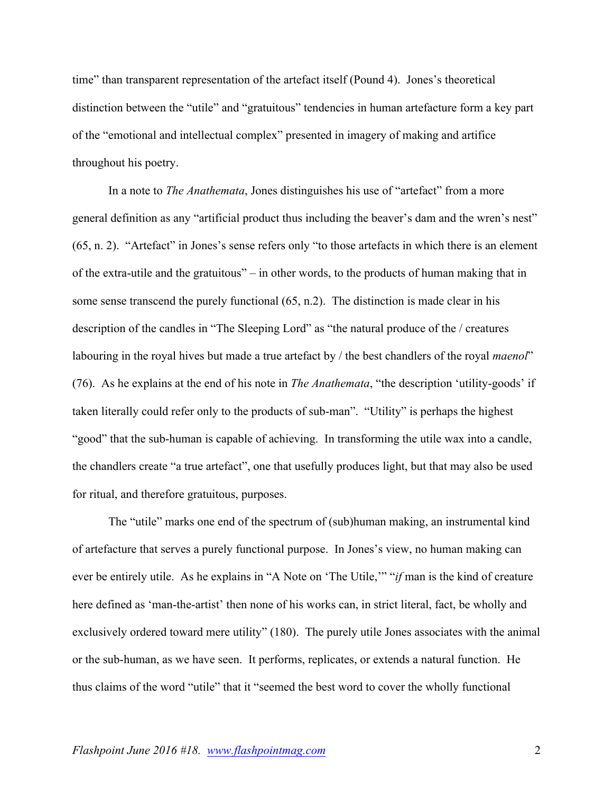time" than transparent representation of the artefact itself (Pound 4). Jones's theoretical distinction between the "utile" and "gratuitous" tendencies in human artefacture form a key part of the "emotional and intellectual complex" presented in imagery of making and artifice throughout his poetry.

In a note to *The Anathemata*, Jones distinguishes his use of "artefact" from a more general definition as any "artificial product thus including the beaver's dam and the wren's nest" (65, n. 2). "Artefact" in Jones's sense refers only "to those artefacts in which there is an element of the extra-utile and the gratuitous" – in other words, to the products of human making that in some sense transcend the purely functional (65, n.2). The distinction is made clear in his description of the candles in "The Sleeping Lord" as "the natural produce of the / creatures labouring in the royal hives but made a true artefact by / the best chandlers of the royal *maenol*" (76). As he explains at the end of his note in *The Anathemata*, "the description 'utility-goods' if taken literally could refer only to the products of sub-man". "Utility" is perhaps the highest "good" that the sub-human is capable of achieving. In transforming the utile wax into a candle, the chandlers create "a true artefact", one that usefully produces light, but that may also be used for ritual, and therefore gratuitous, purposes.

The "utile" marks one end of the spectrum of (sub)human making, an instrumental kind of artefacture that serves a purely functional purpose. In Jones's view, no human making can ever be entirely utile. As he explains in "A Note on 'The Utile,'" "*if* man is the kind of creature here defined as 'man-the-artist' then none of his works can, in strict literal, fact, be wholly and exclusively ordered toward mere utility" (180). The purely utile Jones associates with the animal or the sub-human, as we have seen. It performs, replicates, or extends a natural function. He thus claims of the word "utile" that it "seemed the best word to cover the wholly functional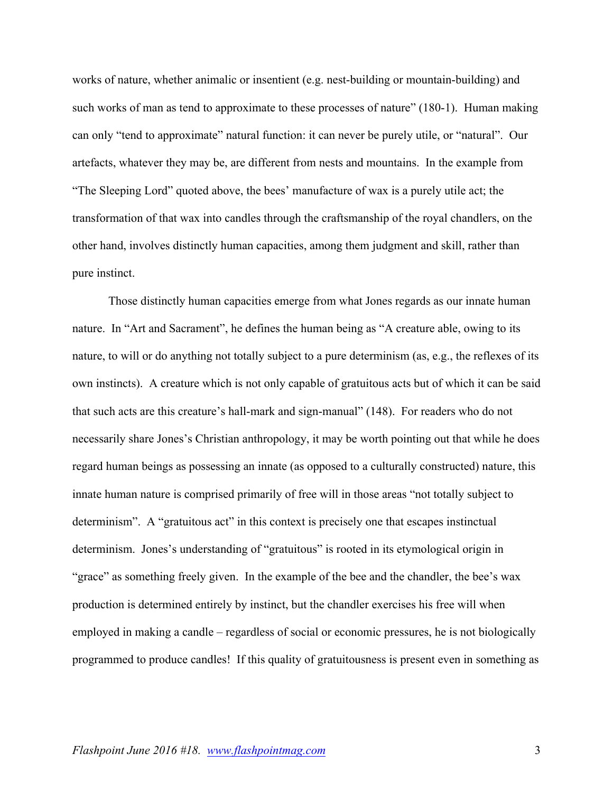works of nature, whether animalic or insentient (e.g. nest-building or mountain-building) and such works of man as tend to approximate to these processes of nature" (180-1). Human making can only "tend to approximate" natural function: it can never be purely utile, or "natural". Our artefacts, whatever they may be, are different from nests and mountains. In the example from "The Sleeping Lord" quoted above, the bees' manufacture of wax is a purely utile act; the transformation of that wax into candles through the craftsmanship of the royal chandlers, on the other hand, involves distinctly human capacities, among them judgment and skill, rather than pure instinct.

Those distinctly human capacities emerge from what Jones regards as our innate human nature. In "Art and Sacrament", he defines the human being as "A creature able, owing to its nature, to will or do anything not totally subject to a pure determinism (as, e.g., the reflexes of its own instincts). A creature which is not only capable of gratuitous acts but of which it can be said that such acts are this creature's hall-mark and sign-manual" (148). For readers who do not necessarily share Jones's Christian anthropology, it may be worth pointing out that while he does regard human beings as possessing an innate (as opposed to a culturally constructed) nature, this innate human nature is comprised primarily of free will in those areas "not totally subject to determinism". A "gratuitous act" in this context is precisely one that escapes instinctual determinism. Jones's understanding of "gratuitous" is rooted in its etymological origin in "grace" as something freely given. In the example of the bee and the chandler, the bee's wax production is determined entirely by instinct, but the chandler exercises his free will when employed in making a candle – regardless of social or economic pressures, he is not biologically programmed to produce candles! If this quality of gratuitousness is present even in something as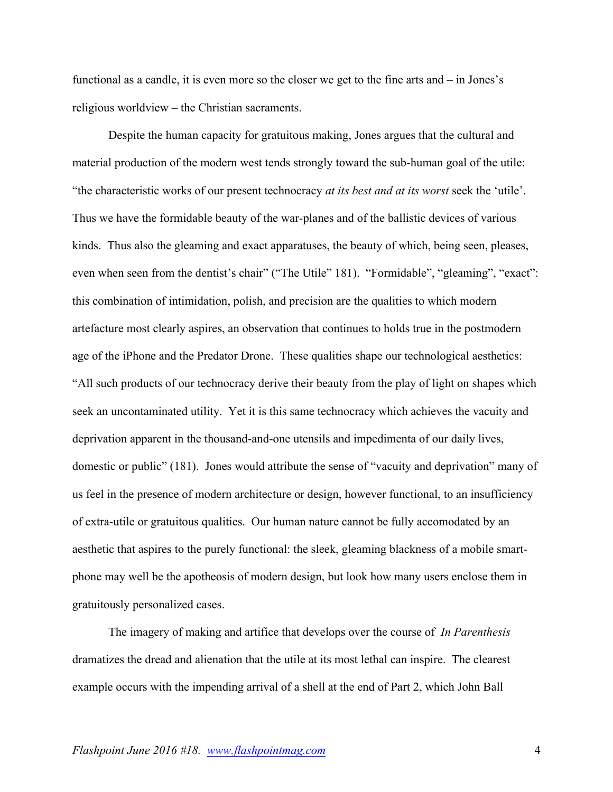functional as a candle, it is even more so the closer we get to the fine arts and – in Jones's religious worldview – the Christian sacraments.

Despite the human capacity for gratuitous making, Jones argues that the cultural and material production of the modern west tends strongly toward the sub-human goal of the utile: "the characteristic works of our present technocracy *at its best and at its worst* seek the 'utile'. Thus we have the formidable beauty of the war-planes and of the ballistic devices of various kinds. Thus also the gleaming and exact apparatuses, the beauty of which, being seen, pleases, even when seen from the dentist's chair" ("The Utile" 181). "Formidable", "gleaming", "exact": this combination of intimidation, polish, and precision are the qualities to which modern artefacture most clearly aspires, an observation that continues to holds true in the postmodern age of the iPhone and the Predator Drone. These qualities shape our technological aesthetics: "All such products of our technocracy derive their beauty from the play of light on shapes which seek an uncontaminated utility. Yet it is this same technocracy which achieves the vacuity and deprivation apparent in the thousand-and-one utensils and impedimenta of our daily lives, domestic or public" (181). Jones would attribute the sense of "vacuity and deprivation" many of us feel in the presence of modern architecture or design, however functional, to an insufficiency of extra-utile or gratuitous qualities. Our human nature cannot be fully accomodated by an aesthetic that aspires to the purely functional: the sleek, gleaming blackness of a mobile smartphone may well be the apotheosis of modern design, but look how many users enclose them in gratuitously personalized cases.

The imagery of making and artifice that develops over the course of *In Parenthesis* dramatizes the dread and alienation that the utile at its most lethal can inspire. The clearest example occurs with the impending arrival of a shell at the end of Part 2, which John Ball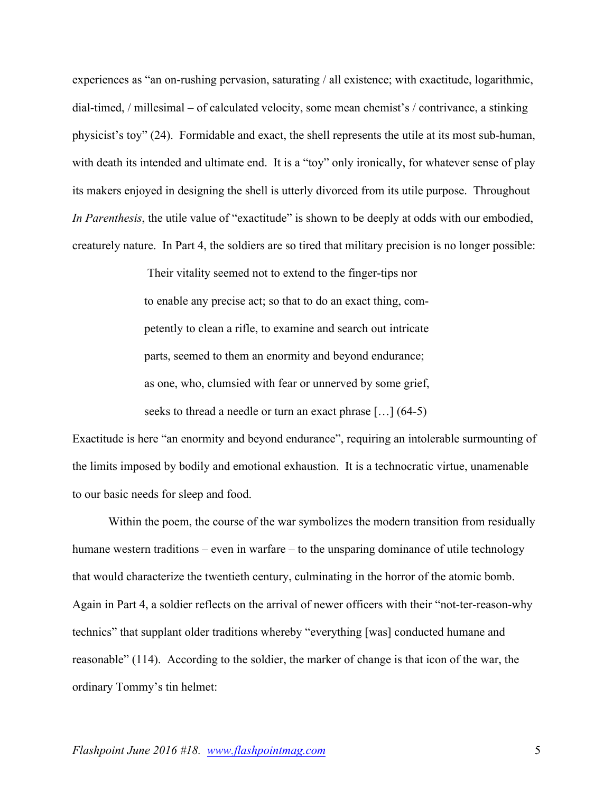experiences as "an on-rushing pervasion, saturating / all existence; with exactitude, logarithmic, dial-timed, / millesimal – of calculated velocity, some mean chemist's / contrivance, a stinking physicist's toy" (24). Formidable and exact, the shell represents the utile at its most sub-human, with death its intended and ultimate end. It is a "toy" only ironically, for whatever sense of play its makers enjoyed in designing the shell is utterly divorced from its utile purpose. Throughout *In Parenthesis*, the utile value of "exactitude" is shown to be deeply at odds with our embodied, creaturely nature. In Part 4, the soldiers are so tired that military precision is no longer possible:

> Their vitality seemed not to extend to the finger-tips nor to enable any precise act; so that to do an exact thing, competently to clean a rifle, to examine and search out intricate parts, seemed to them an enormity and beyond endurance; as one, who, clumsied with fear or unnerved by some grief, seeks to thread a needle or turn an exact phrase […] (64-5)

Exactitude is here "an enormity and beyond endurance", requiring an intolerable surmounting of the limits imposed by bodily and emotional exhaustion. It is a technocratic virtue, unamenable to our basic needs for sleep and food.

Within the poem, the course of the war symbolizes the modern transition from residually humane western traditions – even in warfare – to the unsparing dominance of utile technology that would characterize the twentieth century, culminating in the horror of the atomic bomb. Again in Part 4, a soldier reflects on the arrival of newer officers with their "not-ter-reason-why technics" that supplant older traditions whereby "everything [was] conducted humane and reasonable" (114). According to the soldier, the marker of change is that icon of the war, the ordinary Tommy's tin helmet: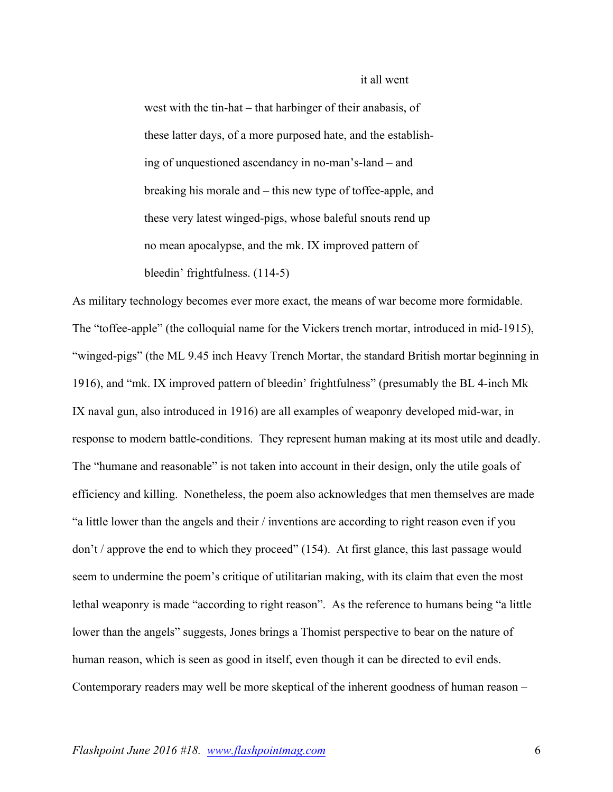## it all went

west with the tin-hat – that harbinger of their anabasis, of these latter days, of a more purposed hate, and the establishing of unquestioned ascendancy in no-man's-land – and breaking his morale and – this new type of toffee-apple, and these very latest winged-pigs, whose baleful snouts rend up no mean apocalypse, and the mk. IX improved pattern of bleedin' frightfulness. (114-5)

As military technology becomes ever more exact, the means of war become more formidable. The "toffee-apple" (the colloquial name for the Vickers trench mortar, introduced in mid-1915), "winged-pigs" (the ML 9.45 inch Heavy Trench Mortar, the standard British mortar beginning in 1916), and "mk. IX improved pattern of bleedin' frightfulness" (presumably the BL 4-inch Mk IX naval gun, also introduced in 1916) are all examples of weaponry developed mid-war, in response to modern battle-conditions. They represent human making at its most utile and deadly. The "humane and reasonable" is not taken into account in their design, only the utile goals of efficiency and killing. Nonetheless, the poem also acknowledges that men themselves are made "a little lower than the angels and their / inventions are according to right reason even if you don't / approve the end to which they proceed" (154). At first glance, this last passage would seem to undermine the poem's critique of utilitarian making, with its claim that even the most lethal weaponry is made "according to right reason". As the reference to humans being "a little lower than the angels" suggests, Jones brings a Thomist perspective to bear on the nature of human reason, which is seen as good in itself, even though it can be directed to evil ends. Contemporary readers may well be more skeptical of the inherent goodness of human reason –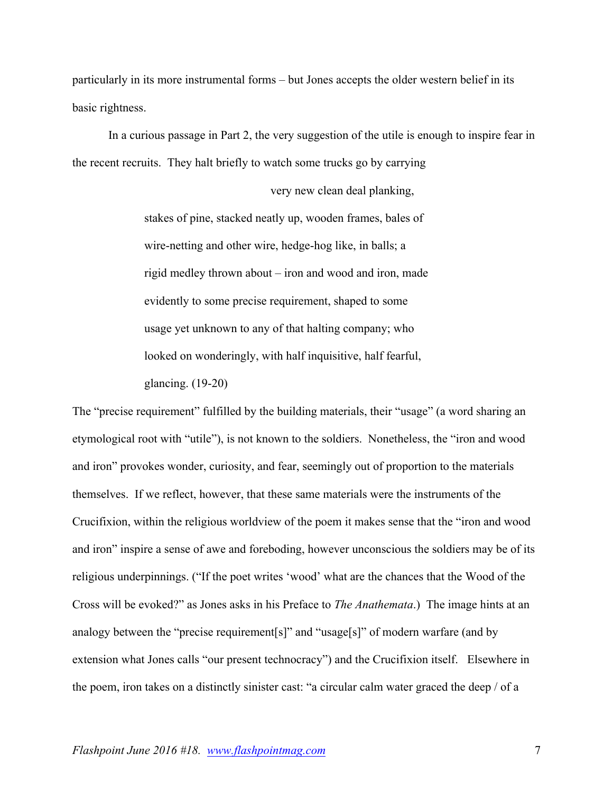particularly in its more instrumental forms – but Jones accepts the older western belief in its basic rightness.

 In a curious passage in Part 2, the very suggestion of the utile is enough to inspire fear in the recent recruits. They halt briefly to watch some trucks go by carrying

very new clean deal planking,

stakes of pine, stacked neatly up, wooden frames, bales of wire-netting and other wire, hedge-hog like, in balls; a rigid medley thrown about – iron and wood and iron, made evidently to some precise requirement, shaped to some usage yet unknown to any of that halting company; who looked on wonderingly, with half inquisitive, half fearful, glancing. (19-20)

The "precise requirement" fulfilled by the building materials, their "usage" (a word sharing an etymological root with "utile"), is not known to the soldiers. Nonetheless, the "iron and wood and iron" provokes wonder, curiosity, and fear, seemingly out of proportion to the materials themselves. If we reflect, however, that these same materials were the instruments of the Crucifixion, within the religious worldview of the poem it makes sense that the "iron and wood and iron" inspire a sense of awe and foreboding, however unconscious the soldiers may be of its religious underpinnings. ("If the poet writes 'wood' what are the chances that the Wood of the Cross will be evoked?" as Jones asks in his Preface to *The Anathemata*.) The image hints at an analogy between the "precise requirement[s]" and "usage[s]" of modern warfare (and by extension what Jones calls "our present technocracy") and the Crucifixion itself. Elsewhere in the poem, iron takes on a distinctly sinister cast: "a circular calm water graced the deep / of a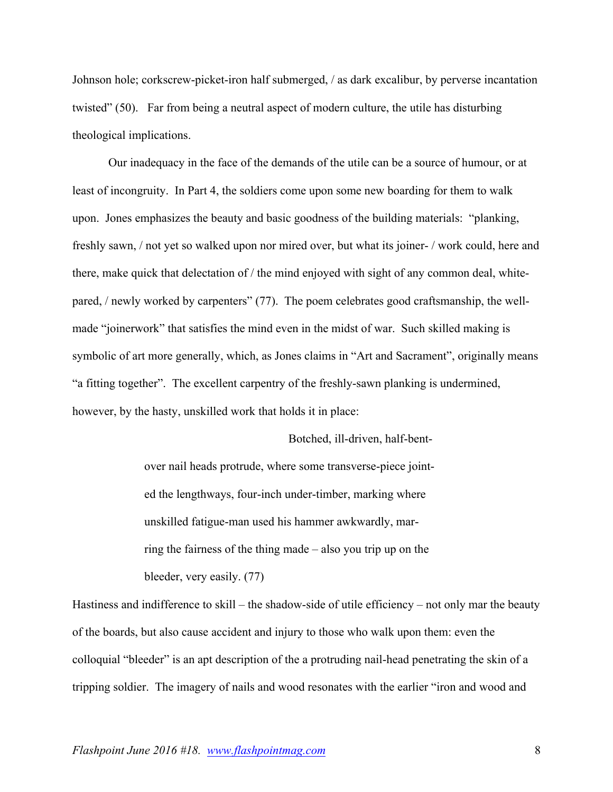Johnson hole; corkscrew-picket-iron half submerged, / as dark excalibur, by perverse incantation twisted" (50). Far from being a neutral aspect of modern culture, the utile has disturbing theological implications.

Our inadequacy in the face of the demands of the utile can be a source of humour, or at least of incongruity. In Part 4, the soldiers come upon some new boarding for them to walk upon. Jones emphasizes the beauty and basic goodness of the building materials: "planking, freshly sawn, / not yet so walked upon nor mired over, but what its joiner- / work could, here and there, make quick that delectation of / the mind enjoyed with sight of any common deal, whitepared, / newly worked by carpenters" (77). The poem celebrates good craftsmanship, the wellmade "joinerwork" that satisfies the mind even in the midst of war. Such skilled making is symbolic of art more generally, which, as Jones claims in "Art and Sacrament", originally means "a fitting together". The excellent carpentry of the freshly-sawn planking is undermined, however, by the hasty, unskilled work that holds it in place:

> Botched, ill-driven, half-bentover nail heads protrude, where some transverse-piece jointed the lengthways, four-inch under-timber, marking where unskilled fatigue-man used his hammer awkwardly, marring the fairness of the thing made – also you trip up on the bleeder, very easily. (77)

Hastiness and indifference to skill – the shadow-side of utile efficiency – not only mar the beauty of the boards, but also cause accident and injury to those who walk upon them: even the colloquial "bleeder" is an apt description of the a protruding nail-head penetrating the skin of a tripping soldier. The imagery of nails and wood resonates with the earlier "iron and wood and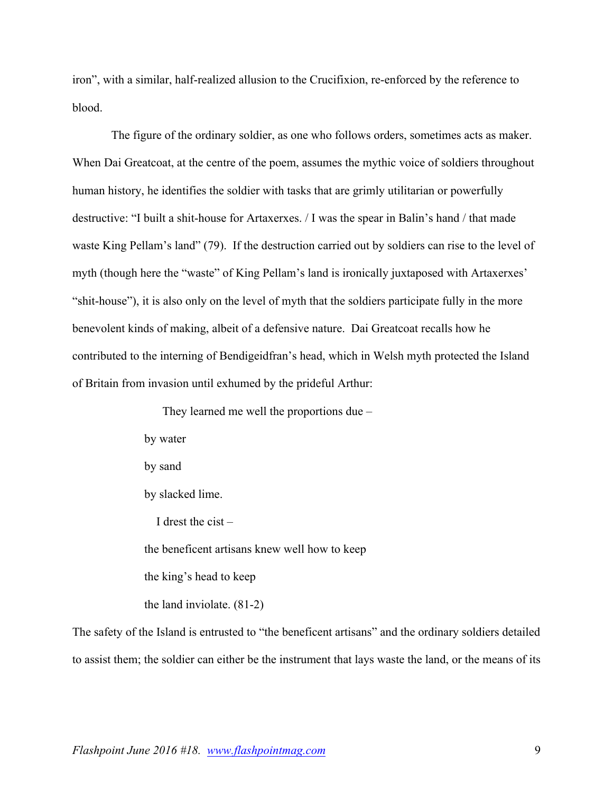iron", with a similar, half-realized allusion to the Crucifixion, re-enforced by the reference to blood.

The figure of the ordinary soldier, as one who follows orders, sometimes acts as maker. When Dai Greatcoat, at the centre of the poem, assumes the mythic voice of soldiers throughout human history, he identifies the soldier with tasks that are grimly utilitarian or powerfully destructive: "I built a shit-house for Artaxerxes. / I was the spear in Balin's hand / that made waste King Pellam's land" (79). If the destruction carried out by soldiers can rise to the level of myth (though here the "waste" of King Pellam's land is ironically juxtaposed with Artaxerxes' "shit-house"), it is also only on the level of myth that the soldiers participate fully in the more benevolent kinds of making, albeit of a defensive nature. Dai Greatcoat recalls how he contributed to the interning of Bendigeidfran's head, which in Welsh myth protected the Island of Britain from invasion until exhumed by the prideful Arthur:

> They learned me well the proportions due – by water by sand by slacked lime. I drest the cist  $$ the beneficent artisans knew well how to keep the king's head to keep the land inviolate. (81-2)

The safety of the Island is entrusted to "the beneficent artisans" and the ordinary soldiers detailed to assist them; the soldier can either be the instrument that lays waste the land, or the means of its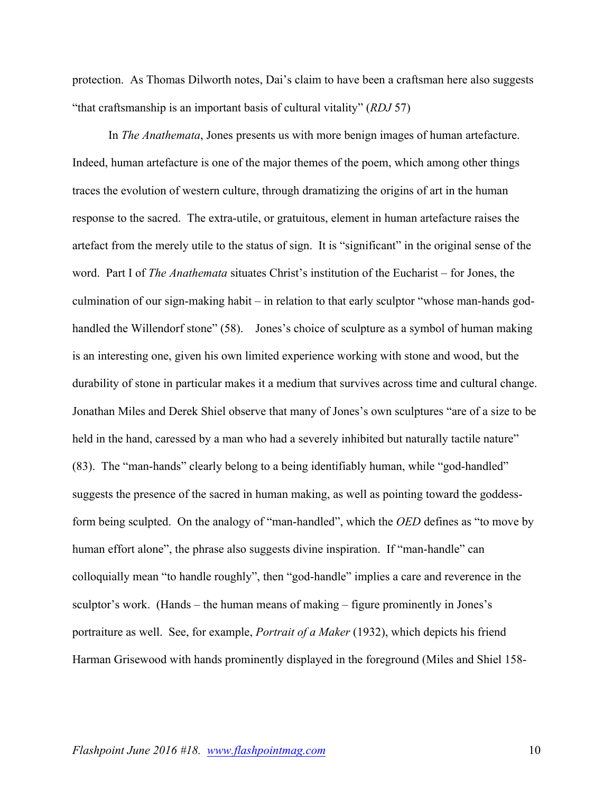protection. As Thomas Dilworth notes, Dai's claim to have been a craftsman here also suggests "that craftsmanship is an important basis of cultural vitality" (*RDJ* 57)

In *The Anathemata*, Jones presents us with more benign images of human artefacture. Indeed, human artefacture is one of the major themes of the poem, which among other things traces the evolution of western culture, through dramatizing the origins of art in the human response to the sacred. The extra-utile, or gratuitous, element in human artefacture raises the artefact from the merely utile to the status of sign. It is "significant" in the original sense of the word. Part I of *The Anathemata* situates Christ's institution of the Eucharist – for Jones, the culmination of our sign-making habit – in relation to that early sculptor "whose man-hands godhandled the Willendorf stone" (58). Jones's choice of sculpture as a symbol of human making is an interesting one, given his own limited experience working with stone and wood, but the durability of stone in particular makes it a medium that survives across time and cultural change. Jonathan Miles and Derek Shiel observe that many of Jones's own sculptures "are of a size to be held in the hand, caressed by a man who had a severely inhibited but naturally tactile nature" (83). The "man-hands" clearly belong to a being identifiably human, while "god-handled" suggests the presence of the sacred in human making, as well as pointing toward the goddessform being sculpted. On the analogy of "man-handled", which the *OED* defines as "to move by human effort alone", the phrase also suggests divine inspiration. If "man-handle" can colloquially mean "to handle roughly", then "god-handle" implies a care and reverence in the sculptor's work. (Hands – the human means of making – figure prominently in Jones's portraiture as well. See, for example, *Portrait of a Maker* (1932), which depicts his friend Harman Grisewood with hands prominently displayed in the foreground (Miles and Shiel 158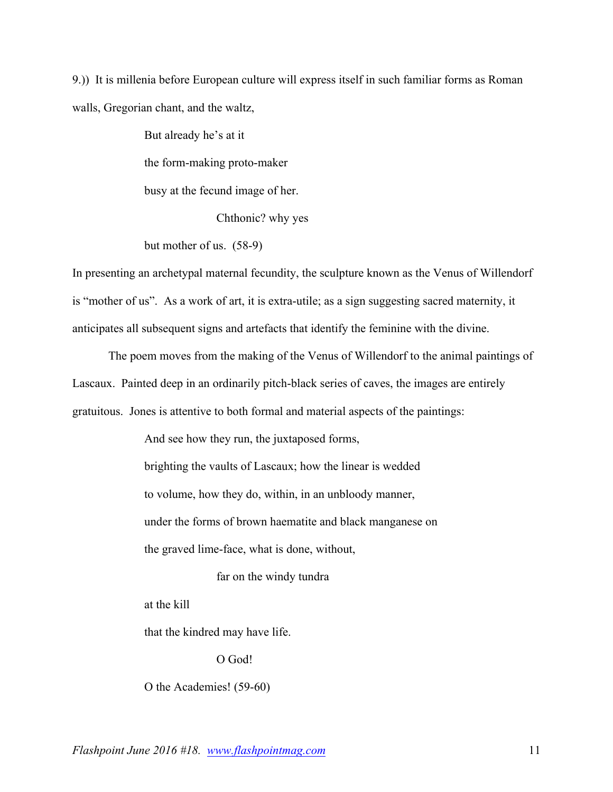9.)) It is millenia before European culture will express itself in such familiar forms as Roman walls, Gregorian chant, and the waltz,

> But already he's at it the form-making proto-maker busy at the fecund image of her.

> > Chthonic? why yes

but mother of us. (58-9)

In presenting an archetypal maternal fecundity, the sculpture known as the Venus of Willendorf is "mother of us". As a work of art, it is extra-utile; as a sign suggesting sacred maternity, it anticipates all subsequent signs and artefacts that identify the feminine with the divine.

The poem moves from the making of the Venus of Willendorf to the animal paintings of Lascaux. Painted deep in an ordinarily pitch-black series of caves, the images are entirely gratuitous. Jones is attentive to both formal and material aspects of the paintings:

> And see how they run, the juxtaposed forms, brighting the vaults of Lascaux; how the linear is wedded to volume, how they do, within, in an unbloody manner, under the forms of brown haematite and black manganese on the graved lime-face, what is done, without,

> > far on the windy tundra

at the kill

that the kindred may have life.

O God!

O the Academies! (59-60)

*Flashpoint June 2016 #18. www.flashpointmag.com* 11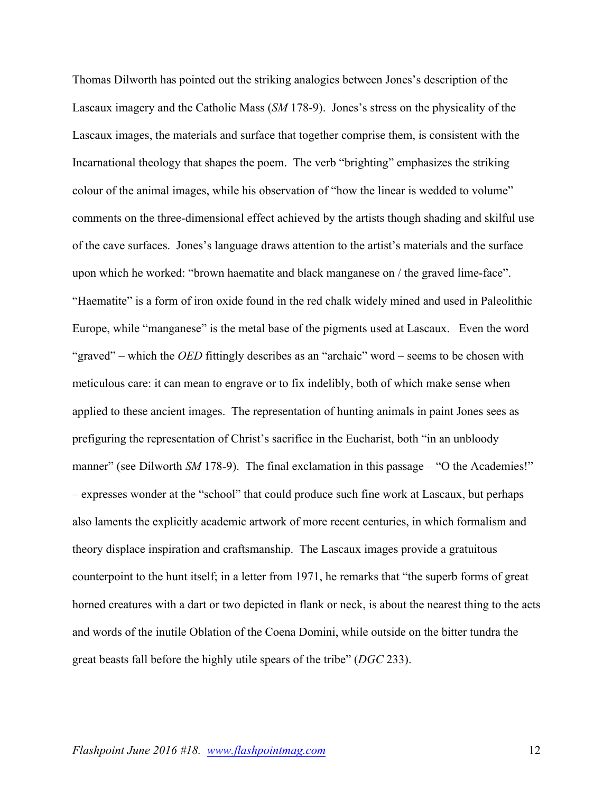Thomas Dilworth has pointed out the striking analogies between Jones's description of the Lascaux imagery and the Catholic Mass (*SM* 178-9). Jones's stress on the physicality of the Lascaux images, the materials and surface that together comprise them, is consistent with the Incarnational theology that shapes the poem. The verb "brighting" emphasizes the striking colour of the animal images, while his observation of "how the linear is wedded to volume" comments on the three-dimensional effect achieved by the artists though shading and skilful use of the cave surfaces. Jones's language draws attention to the artist's materials and the surface upon which he worked: "brown haematite and black manganese on / the graved lime-face". "Haematite" is a form of iron oxide found in the red chalk widely mined and used in Paleolithic Europe, while "manganese" is the metal base of the pigments used at Lascaux. Even the word "graved" – which the *OED* fittingly describes as an "archaic" word – seems to be chosen with meticulous care: it can mean to engrave or to fix indelibly, both of which make sense when applied to these ancient images. The representation of hunting animals in paint Jones sees as prefiguring the representation of Christ's sacrifice in the Eucharist, both "in an unbloody manner" (see Dilworth *SM* 178-9). The final exclamation in this passage – "O the Academies!" – expresses wonder at the "school" that could produce such fine work at Lascaux, but perhaps also laments the explicitly academic artwork of more recent centuries, in which formalism and theory displace inspiration and craftsmanship. The Lascaux images provide a gratuitous counterpoint to the hunt itself; in a letter from 1971, he remarks that "the superb forms of great horned creatures with a dart or two depicted in flank or neck, is about the nearest thing to the acts and words of the inutile Oblation of the Coena Domini, while outside on the bitter tundra the great beasts fall before the highly utile spears of the tribe" (*DGC* 233).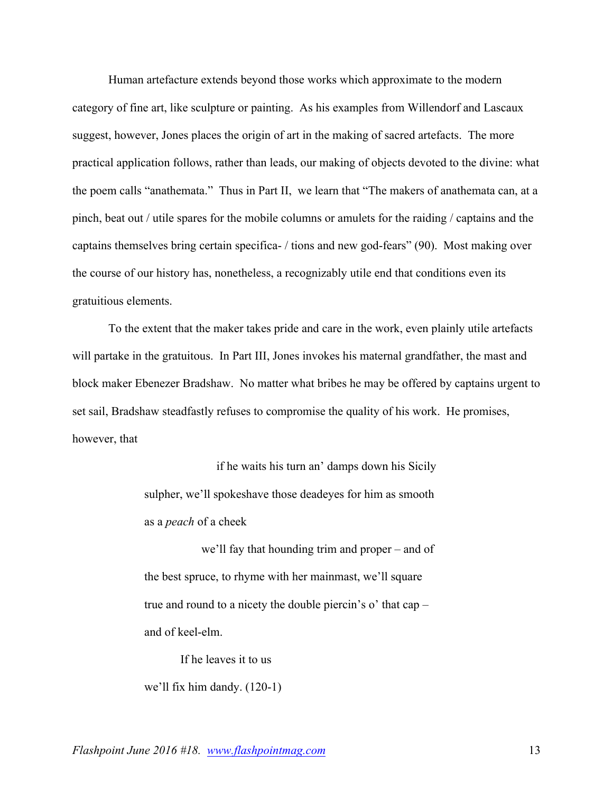Human artefacture extends beyond those works which approximate to the modern category of fine art, like sculpture or painting. As his examples from Willendorf and Lascaux suggest, however, Jones places the origin of art in the making of sacred artefacts. The more practical application follows, rather than leads, our making of objects devoted to the divine: what the poem calls "anathemata." Thus in Part II, we learn that "The makers of anathemata can, at a pinch, beat out / utile spares for the mobile columns or amulets for the raiding / captains and the captains themselves bring certain specifica- / tions and new god-fears" (90). Most making over the course of our history has, nonetheless, a recognizably utile end that conditions even its gratuitious elements.

To the extent that the maker takes pride and care in the work, even plainly utile artefacts will partake in the gratuitous. In Part III, Jones invokes his maternal grandfather, the mast and block maker Ebenezer Bradshaw. No matter what bribes he may be offered by captains urgent to set sail, Bradshaw steadfastly refuses to compromise the quality of his work. He promises, however, that

> if he waits his turn an' damps down his Sicily sulpher, we'll spokeshave those deadeyes for him as smooth as a *peach* of a cheek

> we'll fay that hounding trim and proper – and of the best spruce, to rhyme with her mainmast, we'll square true and round to a nicety the double piercin's o' that cap – and of keel-elm.

If he leaves it to us we'll fix him dandy. (120-1)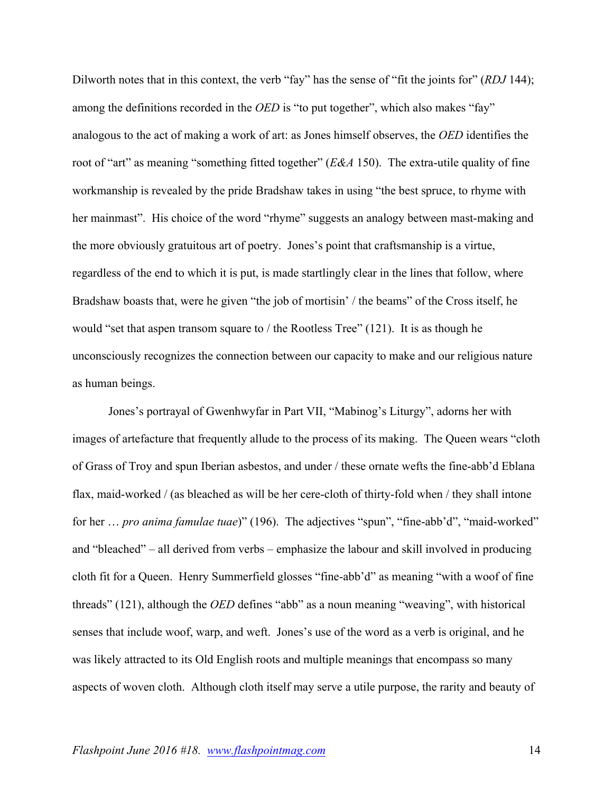Dilworth notes that in this context, the verb "fay" has the sense of "fit the joints for" (*RDJ* 144); among the definitions recorded in the *OED* is "to put together", which also makes "fay" analogous to the act of making a work of art: as Jones himself observes, the *OED* identifies the root of "art" as meaning "something fitted together" (*E&A* 150). The extra-utile quality of fine workmanship is revealed by the pride Bradshaw takes in using "the best spruce, to rhyme with her mainmast". His choice of the word "rhyme" suggests an analogy between mast-making and the more obviously gratuitous art of poetry. Jones's point that craftsmanship is a virtue, regardless of the end to which it is put, is made startlingly clear in the lines that follow, where Bradshaw boasts that, were he given "the job of mortisin' / the beams" of the Cross itself, he would "set that aspen transom square to / the Rootless Tree" (121). It is as though he unconsciously recognizes the connection between our capacity to make and our religious nature as human beings.

Jones's portrayal of Gwenhwyfar in Part VII, "Mabinog's Liturgy", adorns her with images of artefacture that frequently allude to the process of its making. The Queen wears "cloth of Grass of Troy and spun Iberian asbestos, and under / these ornate wefts the fine-abb'd Eblana flax, maid-worked / (as bleached as will be her cere-cloth of thirty-fold when / they shall intone for her … *pro anima famulae tuae*)" (196). The adjectives "spun", "fine-abb'd", "maid-worked" and "bleached" – all derived from verbs – emphasize the labour and skill involved in producing cloth fit for a Queen. Henry Summerfield glosses "fine-abb'd" as meaning "with a woof of fine threads" (121), although the *OED* defines "abb" as a noun meaning "weaving", with historical senses that include woof, warp, and weft. Jones's use of the word as a verb is original, and he was likely attracted to its Old English roots and multiple meanings that encompass so many aspects of woven cloth. Although cloth itself may serve a utile purpose, the rarity and beauty of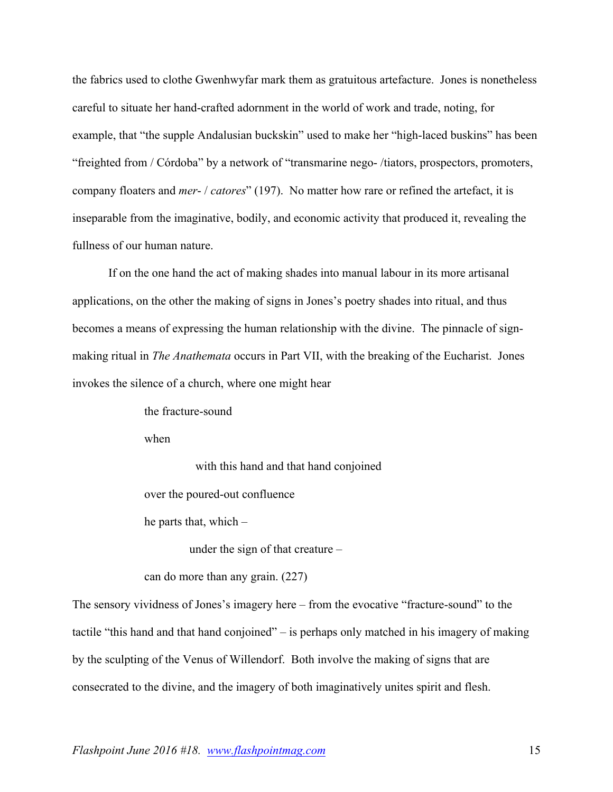the fabrics used to clothe Gwenhwyfar mark them as gratuitous artefacture. Jones is nonetheless careful to situate her hand-crafted adornment in the world of work and trade, noting, for example, that "the supple Andalusian buckskin" used to make her "high-laced buskins" has been "freighted from / Córdoba" by a network of "transmarine nego- /tiators, prospectors, promoters, company floaters and *mer*- / *catores*" (197). No matter how rare or refined the artefact, it is inseparable from the imaginative, bodily, and economic activity that produced it, revealing the fullness of our human nature.

If on the one hand the act of making shades into manual labour in its more artisanal applications, on the other the making of signs in Jones's poetry shades into ritual, and thus becomes a means of expressing the human relationship with the divine. The pinnacle of signmaking ritual in *The Anathemata* occurs in Part VII, with the breaking of the Eucharist. Jones invokes the silence of a church, where one might hear

> the fracture-sound when

> > with this hand and that hand conjoined

over the poured-out confluence

he parts that, which –

under the sign of that creature –

can do more than any grain. (227)

The sensory vividness of Jones's imagery here – from the evocative "fracture-sound" to the tactile "this hand and that hand conjoined" – is perhaps only matched in his imagery of making by the sculpting of the Venus of Willendorf. Both involve the making of signs that are consecrated to the divine, and the imagery of both imaginatively unites spirit and flesh.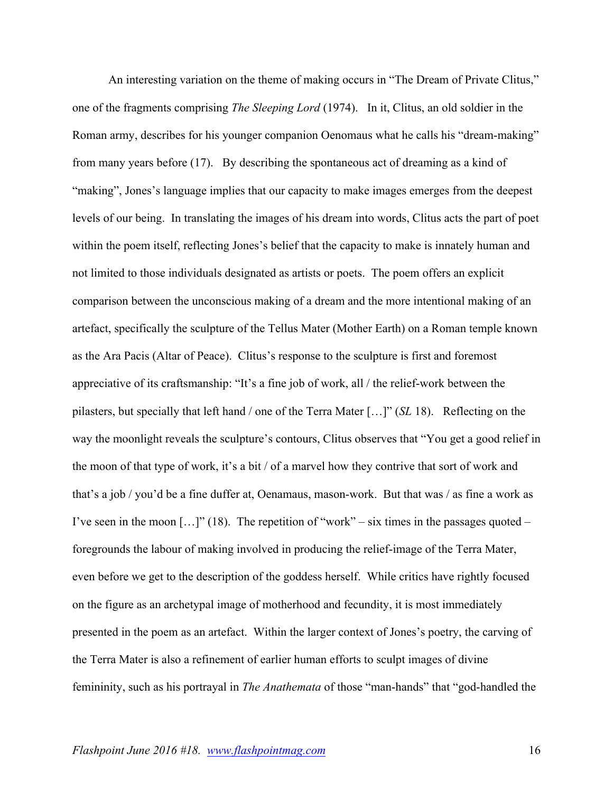An interesting variation on the theme of making occurs in "The Dream of Private Clitus," one of the fragments comprising *The Sleeping Lord* (1974). In it, Clitus, an old soldier in the Roman army, describes for his younger companion Oenomaus what he calls his "dream-making" from many years before (17). By describing the spontaneous act of dreaming as a kind of "making", Jones's language implies that our capacity to make images emerges from the deepest levels of our being. In translating the images of his dream into words, Clitus acts the part of poet within the poem itself, reflecting Jones's belief that the capacity to make is innately human and not limited to those individuals designated as artists or poets. The poem offers an explicit comparison between the unconscious making of a dream and the more intentional making of an artefact, specifically the sculpture of the Tellus Mater (Mother Earth) on a Roman temple known as the Ara Pacis (Altar of Peace). Clitus's response to the sculpture is first and foremost appreciative of its craftsmanship: "It's a fine job of work, all / the relief-work between the pilasters, but specially that left hand / one of the Terra Mater […]" (*SL* 18). Reflecting on the way the moonlight reveals the sculpture's contours, Clitus observes that "You get a good relief in the moon of that type of work, it's a bit / of a marvel how they contrive that sort of work and that's a job / you'd be a fine duffer at, Oenamaus, mason-work. But that was / as fine a work as I've seen in the moon  $[...]$ " (18). The repetition of "work" – six times in the passages quoted – foregrounds the labour of making involved in producing the relief-image of the Terra Mater, even before we get to the description of the goddess herself. While critics have rightly focused on the figure as an archetypal image of motherhood and fecundity, it is most immediately presented in the poem as an artefact. Within the larger context of Jones's poetry, the carving of the Terra Mater is also a refinement of earlier human efforts to sculpt images of divine femininity, such as his portrayal in *The Anathemata* of those "man-hands" that "god-handled the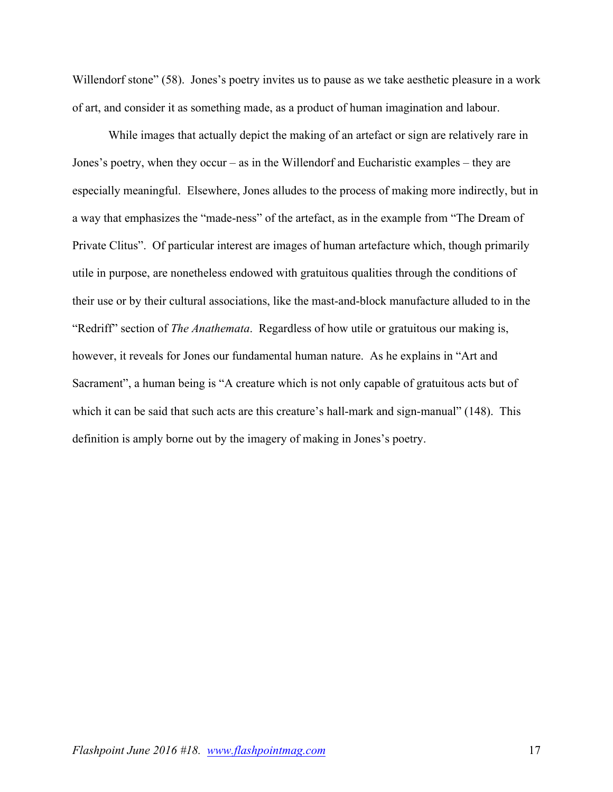Willendorf stone" (58). Jones's poetry invites us to pause as we take aesthetic pleasure in a work of art, and consider it as something made, as a product of human imagination and labour.

While images that actually depict the making of an artefact or sign are relatively rare in Jones's poetry, when they occur – as in the Willendorf and Eucharistic examples – they are especially meaningful. Elsewhere, Jones alludes to the process of making more indirectly, but in a way that emphasizes the "made-ness" of the artefact, as in the example from "The Dream of Private Clitus". Of particular interest are images of human artefacture which, though primarily utile in purpose, are nonetheless endowed with gratuitous qualities through the conditions of their use or by their cultural associations, like the mast-and-block manufacture alluded to in the "Redriff" section of *The Anathemata*. Regardless of how utile or gratuitous our making is, however, it reveals for Jones our fundamental human nature. As he explains in "Art and Sacrament", a human being is "A creature which is not only capable of gratuitous acts but of which it can be said that such acts are this creature's hall-mark and sign-manual" (148). This definition is amply borne out by the imagery of making in Jones's poetry.